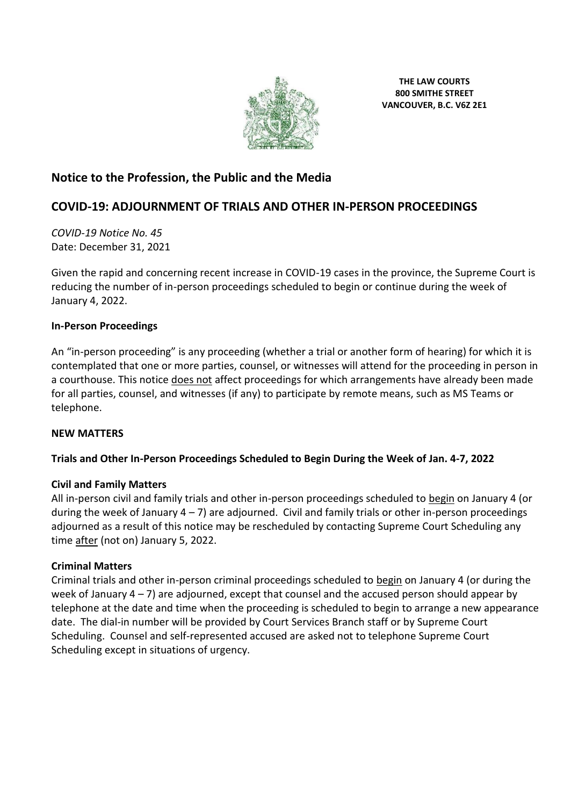

**THE LAW COURTS 800 SMITHE STREET VANCOUVER, B.C. V6Z 2E1**

# **Notice to the Profession, the Public and the Media**

# **COVID-19: ADJOURNMENT OF TRIALS AND OTHER IN-PERSON PROCEEDINGS**

*COVID-19 Notice No. 45* Date: December 31, 2021

Given the rapid and concerning recent increase in COVID-19 cases in the province, the Supreme Court is reducing the number of in-person proceedings scheduled to begin or continue during the week of January 4, 2022.

### **In-Person Proceedings**

An "in-person proceeding" is any proceeding (whether a trial or another form of hearing) for which it is contemplated that one or more parties, counsel, or witnesses will attend for the proceeding in person in a courthouse. This notice does not affect proceedings for which arrangements have already been made for all parties, counsel, and witnesses (if any) to participate by remote means, such as MS Teams or telephone.

#### **NEW MATTERS**

## **Trials and Other In-Person Proceedings Scheduled to Begin During the Week of Jan. 4-7, 2022**

#### **Civil and Family Matters**

All in-person civil and family trials and other in-person proceedings scheduled to begin on January 4 (or during the week of January  $4 - 7$ ) are adjourned. Civil and family trials or other in-person proceedings adjourned as a result of this notice may be rescheduled by contacting Supreme Court Scheduling any time after (not on) January 5, 2022.

#### **Criminal Matters**

Criminal trials and other in-person criminal proceedings scheduled to begin on January 4 (or during the week of January  $4 - 7$ ) are adjourned, except that counsel and the accused person should appear by telephone at the date and time when the proceeding is scheduled to begin to arrange a new appearance date. The dial-in number will be provided by Court Services Branch staff or by Supreme Court Scheduling. Counsel and self-represented accused are asked not to telephone Supreme Court Scheduling except in situations of urgency.